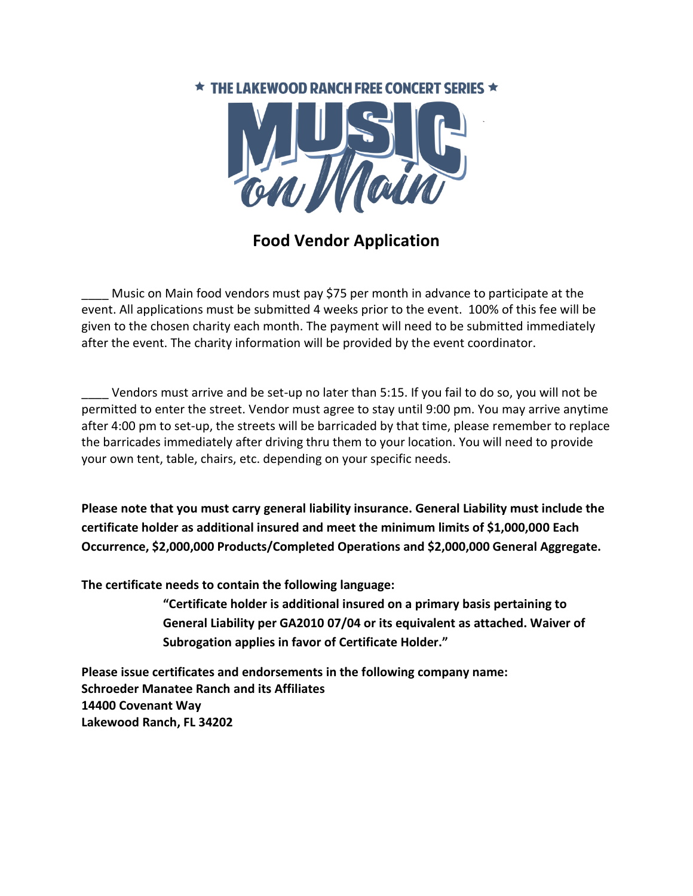## $\star$  THE LAKEWOOD RANCH FREE CONCERT SERIES  $\star$



**Food Vendor Application**

Music on Main food vendors must pay \$75 per month in advance to participate at the event. All applications must be submitted 4 weeks prior to the event. 100% of this fee will be given to the chosen charity each month. The payment will need to be submitted immediately after the event. The charity information will be provided by the event coordinator.

\_\_\_\_ Vendors must arrive and be set-up no later than 5:15. If you fail to do so, you will not be permitted to enter the street. Vendor must agree to stay until 9:00 pm. You may arrive anytime after 4:00 pm to set-up, the streets will be barricaded by that time, please remember to replace the barricades immediately after driving thru them to your location. You will need to provide your own tent, table, chairs, etc. depending on your specific needs.

**Please note that you must carry general liability insurance. General Liability must include the certificate holder as additional insured and meet the minimum limits of \$1,000,000 Each Occurrence, \$2,000,000 Products/Completed Operations and \$2,000,000 General Aggregate.**

**The certificate needs to contain the following language:**

**"Certificate holder is additional insured on a primary basis pertaining to General Liability per GA2010 07/04 or its equivalent as attached. Waiver of Subrogation applies in favor of Certificate Holder."**

**Please issue certificates and endorsements in the following company name: Schroeder Manatee Ranch and its Affiliates 14400 Covenant Way Lakewood Ranch, FL 34202**